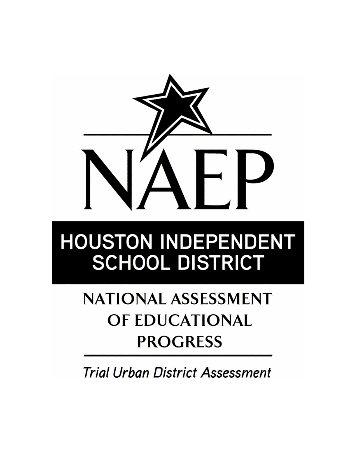

# **HOUSTON INDEPENDENT SCHOOL DISTRICT**

## **NATIONAL ASSESSMENT** OF EDUCATIONAL **PROGRESS**

**Trial Urban District Assessment**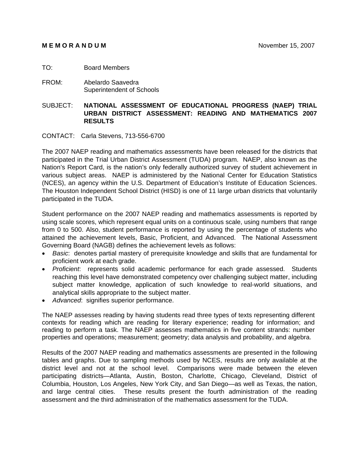#### **MEMORANDUM** November 15, 2007

- TO: Board Members
- FROM: Abelardo Saavedra Superintendent of Schools

#### SUBJECT: **NATIONAL ASSESSMENT OF EDUCATIONAL PROGRESS (NAEP) TRIAL URBAN DISTRICT ASSESSMENT: READING AND MATHEMATICS 2007 RESULTS**

CONTACT: Carla Stevens, 713-556-6700

The 2007 NAEP reading and mathematics assessments have been released for the districts that participated in the Trial Urban District Assessment (TUDA) program. NAEP, also known as the Nation's Report Card, is the nation's only federally authorized survey of student achievement in various subject areas. NAEP is administered by the National Center for Education Statistics (NCES), an agency within the U.S. Department of Education's Institute of Education Sciences. The Houston Independent School District (HISD) is one of 11 large urban districts that voluntarily participated in the TUDA.

Student performance on the 2007 NAEP reading and mathematics assessments is reported by using scale scores, which represent equal units on a continuous scale, using numbers that range from 0 to 500. Also, student performance is reported by using the percentage of students who attained the achievement levels, Basic, Proficient, and Advanced. The National Assessment Governing Board (NAGB) defines the achievement levels as follows:

- *Basic*: denotes partial mastery of prerequisite knowledge and skills that are fundamental for proficient work at each grade.
- *Proficient*: represents solid academic performance for each grade assessed. Students reaching this level have demonstrated competency over challenging subject matter, including subject matter knowledge, application of such knowledge to real-world situations, and analytical skills appropriate to the subject matter.
- *Advanced*: signifies superior performance.

The NAEP assesses reading by having students read three types of texts representing different contexts for reading which are reading for literary experience; reading for information; and reading to perform a task. The NAEP assesses mathematics in five content strands: number properties and operations; measurement; geometry; data analysis and probability, and algebra.

Results of the 2007 NAEP reading and mathematics assessments are presented in the following tables and graphs. Due to sampling methods used by NCES, results are only available at the district level and not at the school level. Comparisons were made between the eleven participating districts—Atlanta, Austin, Boston, Charlotte, Chicago, Cleveland, District of Columbia, Houston, Los Angeles, New York City, and San Diego—as well as Texas, the nation, and large central cities. These results present the fourth administration of the reading assessment and the third administration of the mathematics assessment for the TUDA.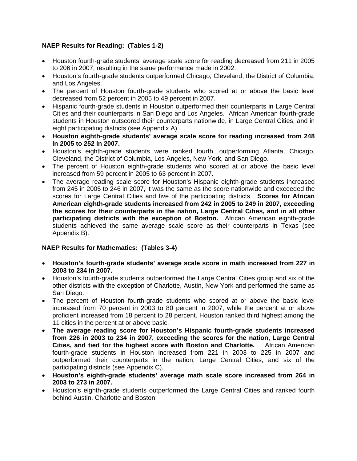#### **NAEP Results for Reading: (Tables 1-2)**

- Houston fourth-grade students' average scale score for reading decreased from 211 in 2005 to 206 in 2007, resulting in the same performance made in 2002.
- Houston's fourth-grade students outperformed Chicago, Cleveland, the District of Columbia, and Los Angeles.
- The percent of Houston fourth-grade students who scored at or above the basic level decreased from 52 percent in 2005 to 49 percent in 2007.
- Hispanic fourth-grade students in Houston outperformed their counterparts in Large Central Cities and their counterparts in San Diego and Los Angeles. African American fourth-grade students in Houston outscored their counterparts nationwide, in Large Central Cities, and in eight participating districts (see Appendix A).
- **Houston eighth-grade students' average scale score for reading increased from 248 in 2005 to 252 in 2007.**
- Houston's eighth-grade students were ranked fourth, outperforming Atlanta, Chicago, Cleveland, the District of Columbia, Los Angeles, New York, and San Diego.
- The percent of Houston eighth-grade students who scored at or above the basic level increased from 59 percent in 2005 to 63 percent in 2007.
- The average reading scale score for Houston's Hispanic eighth-grade students increased from 245 in 2005 to 246 in 2007, it was the same as the score nationwide and exceeded the scores for Large Central Cities and five of the participating districts. **Scores for African American eighth-grade students increased from 242 in 2005 to 249 in 2007, exceeding the scores for their counterparts in the nation, Large Central Cities, and in all other participating districts with the exception of Boston.** African American eighth-grade students achieved the same average scale score as their counterparts in Texas (see Appendix B).

#### **NAEP Results for Mathematics: (Tables 3-4)**

- **Houston's fourth-grade students' average scale score in math increased from 227 in 2003 to 234 in 2007.**
- Houston's fourth-grade students outperformed the Large Central Cities group and six of the other districts with the exception of Charlotte, Austin, New York and performed the same as San Diego.
- The percent of Houston fourth-grade students who scored at or above the basic level increased from 70 percent in 2003 to 80 percent in 2007, while the percent at or above proficient increased from 18 percent to 28 percent. Houston ranked third highest among the 11 cities in the percent at or above basic.
- **The average reading score for Houston's Hispanic fourth-grade students increased from 226 in 2003 to 234 in 2007, exceeding the scores for the nation, Large Central Cities, and tied for the highest score with Boston and Charlotte.** African American fourth-grade students in Houston increased from 221 in 2003 to 225 in 2007 and outperformed their counterparts in the nation, Large Central Cities, and six of the participating districts (see Appendix C).
- **Houston's eighth-grade students' average math scale score increased from 264 in 2003 to 273 in 2007.**
- Houston's eighth-grade students outperformed the Large Central Cities and ranked fourth behind Austin, Charlotte and Boston.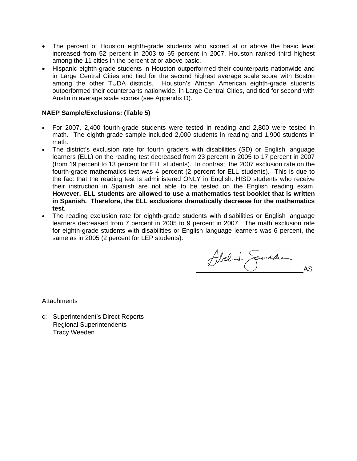- The percent of Houston eighth-grade students who scored at or above the basic level increased from 52 percent in 2003 to 65 percent in 2007. Houston ranked third highest among the 11 cities in the percent at or above basic.
- Hispanic eighth-grade students in Houston outperformed their counterparts nationwide and in Large Central Cities and tied for the second highest average scale score with Boston among the other TUDA districts. Houston's African American eighth-grade students outperformed their counterparts nationwide, in Large Central Cities, and tied for second with Austin in average scale scores (see Appendix D).

#### **NAEP Sample/Exclusions: (Table 5)**

- For 2007, 2,400 fourth-grade students were tested in reading and 2,800 were tested in math. The eighth-grade sample included 2,000 students in reading and 1,900 students in math.
- The district's exclusion rate for fourth graders with disabilities (SD) or English language learners (ELL) on the reading test decreased from 23 percent in 2005 to 17 percent in 2007 (from 19 percent to 13 percent for ELL students). In contrast, the 2007 exclusion rate on the fourth-grade mathematics test was 4 percent (2 percent for ELL students). This is due to the fact that the reading test is administered ONLY in English. HISD students who receive their instruction in Spanish are not able to be tested on the English reading exam. **However, ELL students are allowed to use a mathematics test booklet that is written in Spanish. Therefore, the ELL exclusions dramatically decrease for the mathematics test**.
- The reading exclusion rate for eighth-grade students with disabilities or English language learners decreased from 7 percent in 2005 to 9 percent in 2007. The math exclusion rate for eighth-grade students with disabilities or English language learners was 6 percent, the same as in 2005 (2 percent for LEP students).

Abel de Geovedre

**Attachments** 

c: Superintendent's Direct Reports Regional Superintendents Tracy Weeden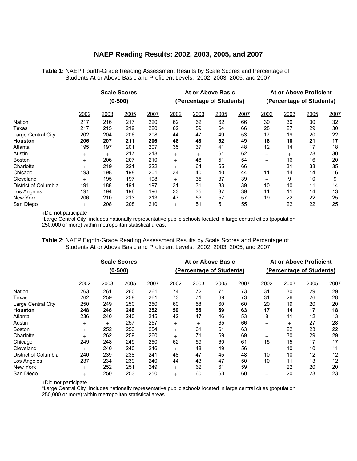#### **NAEP Reading Results: 2002, 2003, 2005, and 2007**

|                      | Students At or Above Basic and Proficient Levels: 2002, 2003, 2005, and 2007 |        |                     |      |        |                          |      |      |        |                          |      |      |  |  |
|----------------------|------------------------------------------------------------------------------|--------|---------------------|------|--------|--------------------------|------|------|--------|--------------------------|------|------|--|--|
|                      |                                                                              |        | <b>Scale Scores</b> |      |        | At or Above Basic        |      |      |        | At or Above Proficient   |      |      |  |  |
|                      |                                                                              |        | $(0-500)$           |      |        | (Percentage of Students) |      |      |        | (Percentage of Students) |      |      |  |  |
|                      | 2002                                                                         | 2003   | 2005                | 2007 | 2002   | 2003                     | 2005 | 2007 | 2002   | 2003                     | 2005 | 2007 |  |  |
| Nation               | 217                                                                          | 216    | 217                 | 220  | 62     | 62                       | 62   | 66   | 30     | 30                       | 30   | 32   |  |  |
| Texas                | 217                                                                          | 215    | 219                 | 220  | 62     | 59                       | 64   | 66   | 28     | 27                       | 29   | 30   |  |  |
| Large Central City   | 202                                                                          | 204    | 206                 | 208  | 44     | 47                       | 49   | 53   | 17     | 19                       | 20   | 22   |  |  |
| Houston              | 206                                                                          | 207    | 211                 | 206  | 48     | 48                       | 52   | 49   | 18     | 18                       | 21   | 17   |  |  |
| Atlanta              | 195                                                                          | 197    | 201                 | 207  | 35     | 37                       | 41   | 48   | 12     | 14                       | 17   | 18   |  |  |
| Austin               | $^{+}$                                                                       | $^{+}$ | 217                 | 218  | $^{+}$ | $^{+}$                   | 61   | 62   | $^{+}$ | $^{+}$                   | 28   | 30   |  |  |
| Boston               | $^{+}$                                                                       | 206    | 207                 | 210  | $^{+}$ | 48                       | 51   | 54   | $^{+}$ | 16                       | 16   | 20   |  |  |
| Charlotte            | $^{+}$                                                                       | 219    | 221                 | 222  | $^{+}$ | 64                       | 65   | 66   | $^{+}$ | 31                       | 33   | 35   |  |  |
| Chicago              | 193                                                                          | 198    | 198                 | 201  | 34     | 40                       | 40   | 44   | 11     | 14                       | 14   | 16   |  |  |
| Cleveland            | $^{+}$                                                                       | 195    | 197                 | 198  | $^{+}$ | 35                       | 37   | 39   | $^{+}$ | 9                        | 10   | 9    |  |  |
| District of Columbia | 191                                                                          | 188    | 191                 | 197  | 31     | 31                       | 33   | 39   | 10     | 10                       | 11   | 14   |  |  |
| Los Angeles          | 191                                                                          | 194    | 196                 | 196  | 33     | 35                       | 37   | 39   | 11     | 11                       | 14   | 13   |  |  |
| New York             | 206                                                                          | 210    | 213                 | 213  | 47     | 53                       | 57   | 57   | 19     | 22                       | 22   | 25   |  |  |
| San Diego            | $^{+}$                                                                       | 208    | 208                 | 210  | $^{+}$ | 51                       | 51   | 55   | $^{+}$ | 22                       | 22   | 25   |  |  |

**Table 1:** NAEP Fourth-Grade Reading Assessment Results by Scale Scores and Percentage of

+Did not participate

"Large Central City" includes nationally representative public schools located in large central cities (population 250,000 or more) within metropolitan statistical areas.

**Table 2**: NAEP Eighth-Grade Reading Assessment Results by Scale Scores and Percentage of Students At or Above Basic and Proficient Levels: 2002, 2003, 2005, and 2007

|                      |        |        | <b>Scale Scores</b><br>$(0-500)$ |      |        |        | At or Above Basic<br>(Percentage of Students) |      |        |        | At or Above Proficient<br>(Percentage of Students) |      |  |  |
|----------------------|--------|--------|----------------------------------|------|--------|--------|-----------------------------------------------|------|--------|--------|----------------------------------------------------|------|--|--|
|                      | 2002   | 2003   | 2005                             | 2007 | 2002   | 2003   | 2005                                          | 2007 | 2002   | 2003   | 2005                                               | 2007 |  |  |
| Nation               | 263    | 261    | 260                              | 261  | 74     | 72     | 71                                            | 73   | 31     | 30     | 29                                                 | 29   |  |  |
| Texas                | 262    | 259    | 258                              | 261  | 73     | 71     | 69                                            | 73   | 31     | 26     | 26                                                 | 28   |  |  |
| Large Central City   | 250    | 249    | 250                              | 250  | 60     | 58     | 60                                            | 60   | 20     | 19     | 20                                                 | 20   |  |  |
| Houston              | 248    | 246    | 248                              | 252  | 59     | 55     | 59                                            | 63   | 17     | 14     | 17                                                 | 18   |  |  |
| Atlanta              | 236    | 240    | 240                              | 245  | 42     | 47     | 46                                            | 53   | 8      | 11     | 12                                                 | 13   |  |  |
| Austin               | $^{+}$ | $^{+}$ | 257                              | 257  | $^{+}$ | $^{+}$ | 65                                            | 66   | $^{+}$ | $^{+}$ | 27                                                 | 28   |  |  |
| <b>Boston</b>        | $^{+}$ | 252    | 253                              | 254  | $^{+}$ | 61     | 61                                            | 63   | $^{+}$ | 22     | 23                                                 | 22   |  |  |
| Charlotte            | $^{+}$ | 262    | 259                              | 260  | $^{+}$ | 71     | 69                                            | 69   | $^{+}$ | 30     | 29                                                 | 29   |  |  |
| Chicago              | 249    | 248    | 249                              | 250  | 62     | 59     | 60                                            | 61   | 15     | 15     | 17                                                 | 17   |  |  |
| Cleveland            | $^{+}$ | 240    | 240                              | 246  | $^{+}$ | 48     | 49                                            | 56   | $^{+}$ | 10     | 10                                                 | 11   |  |  |
| District of Columbia | 240    | 239    | 238                              | 241  | 48     | 47     | 45                                            | 48   | 10     | 10     | 12                                                 | 12   |  |  |
| Los Angeles          | 237    | 234    | 239                              | 240  | 44     | 43     | 47                                            | 50   | 10     | 11     | 13                                                 | 12   |  |  |
| New York             | $^{+}$ | 252    | 251                              | 249  | $^{+}$ | 62     | 61                                            | 59   | $^{+}$ | 22     | 20                                                 | 20   |  |  |
| San Diego            | $^{+}$ | 250    | 253                              | 250  | $^{+}$ | 60     | 63                                            | 60   | $^{+}$ | 20     | 23                                                 | 23   |  |  |

+Did not participate

"Large Central City" includes nationally representative public schools located in large central cities (population 250,000 or more) within metropolitan statistical areas.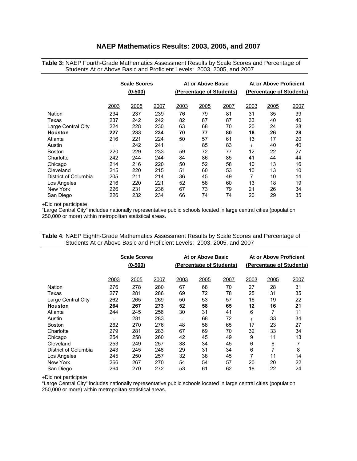#### **NAEP Mathematics Results: 2003, 2005, and 2007**

**Table 3:** NAEP Fourth-Grade Mathematics Assessment Results by Scale Scores and Percentage of Students At or Above Basic and Proficient Levels: 2003, 2005, and 2007

|                      | <b>Scale Scores</b><br>$(0 - 500)$ |      |      |        | At or Above Basic<br>(Percentage of Students) |      |      | At or Above Proficient<br>(Percentage of Students) |      |  |  |
|----------------------|------------------------------------|------|------|--------|-----------------------------------------------|------|------|----------------------------------------------------|------|--|--|
|                      | 2003                               | 2005 | 2007 | 2003   | 2005                                          | 2007 | 2003 | 2005                                               | 2007 |  |  |
| Nation               | 234                                | 237  | 239  | 76     | 79                                            | 81   | 31   | 35                                                 | 39   |  |  |
| Texas                | 237                                | 242  | 242  | 82     | 87                                            | 87   | 33   | 40                                                 | 40   |  |  |
|                      |                                    |      |      |        |                                               |      |      |                                                    |      |  |  |
| Large Central City   | 224                                | 228  | 230  | 63     | 68                                            | 70   | 20   | 24                                                 | 28   |  |  |
| <b>Houston</b>       | 227                                | 233  | 234  | 70     | 77                                            | 80   | 18   | 26                                                 | 28   |  |  |
| Atlanta              | 216                                | 221  | 224  | 50     | 57                                            | 61   | 13   | 17                                                 | 20   |  |  |
| Austin               | $^{+}$                             | 242  | 241  | $^{+}$ | 85                                            | 83   | $+$  | 40                                                 | 40   |  |  |
| <b>Boston</b>        | 220                                | 229  | 233  | 59     | 72                                            | 77   | 12   | 22                                                 | 27   |  |  |
| Charlotte            | 242                                | 244  | 244  | 84     | 86                                            | 85   | 41   | 44                                                 | 44   |  |  |
| Chicago              | 214                                | 216  | 220  | 50     | 52                                            | 58   | 10   | 13                                                 | 16   |  |  |
| Cleveland            | 215                                | 220  | 215  | 51     | 60                                            | 53   | 10   | 13                                                 | 10   |  |  |
| District of Columbia | 205                                | 211  | 214  | 36     | 45                                            | 49   | 7    | 10                                                 | 14   |  |  |
| Los Angeles          | 216                                | 220  | 221  | 52     | 58                                            | 60   | 13   | 18                                                 | 19   |  |  |
| New York             | 226                                | 231  | 236  | 67     | 73                                            | 79   | 21   | 26                                                 | 34   |  |  |
| San Diego            | 226                                | 232  | 234  | 66     | 74                                            | 74   | 20   | 29                                                 | 35   |  |  |

+Did not participate

"Large Central City" includes nationally representative public schools located in large central cities (population 250,000 or more) within metropolitan statistical areas.

|                      |        | <b>Scale Scores</b> |      |      | At or Above Basic        |      |        | At or Above Proficient   |      |
|----------------------|--------|---------------------|------|------|--------------------------|------|--------|--------------------------|------|
|                      |        | $(0 - 500)$         |      |      | (Percentage of Students) |      |        | (Percentage of Students) |      |
|                      |        |                     |      |      |                          |      |        |                          |      |
|                      | 2003   | 2005                | 2007 | 2003 | 2005                     | 2007 | 2003   | 2005                     | 2007 |
| <b>Nation</b>        | 276    | 278                 | 280  | 67   | 68                       | 70   | 27     | 28                       | 31   |
| Texas                | 277    | 281                 | 286  | 69   | 72                       | 78   | 25     | 31                       | 35   |
| Large Central City   | 262    | 265                 | 269  | 50   | 53                       | 57   | 16     | 19                       | 22   |
| <b>Houston</b>       | 264    | 267                 | 273  | 52   | 58                       | 65   | 12     | 16                       | 21   |
| Atlanta              | 244    | 245                 | 256  | 30   | 31                       | 41   | 6      | 7                        | 11   |
| Austin               | $^{+}$ | 281                 | 283  | $+$  | 68                       | 72   | $^{+}$ | 33                       | 34   |
| <b>Boston</b>        | 262    | 270                 | 276  | 48   | 58                       | 65   | 17     | 23                       | 27   |
| Charlotte            | 279    | 281                 | 283  | 67   | 69                       | 70   | 32     | 33                       | 34   |
| Chicago              | 254    | 258                 | 260  | 42   | 45                       | 49   | 9      | 11                       | 13   |
| Cleveland            | 253    | 249                 | 257  | 38   | 34                       | 45   | 6      | 6                        | 7    |
| District of Columbia | 243    | 245                 | 248  | 29   | 31                       | 34   | 6      | 7                        | 8    |
| Los Angeles          | 245    | 250                 | 257  | 32   | 38                       | 45   | 7      | 11                       | 14   |
| New York             | 266    | 267                 | 270  | 54   | 54                       | 57   | 20     | 20                       | 22   |
| San Diego            | 264    | 270                 | 272  | 53   | 61                       | 62   | 18     | 22                       | 24   |

**Table 4**: NAEP Eighth-Grade Mathematics Assessment Results by Scale Scores and Percentage of Students At or Above Basic and Proficient Levels: 2003, 2005, and 2007

+Did not participate

"Large Central City" includes nationally representative public schools located in large central cities (population 250,000 or more) within metropolitan statistical areas.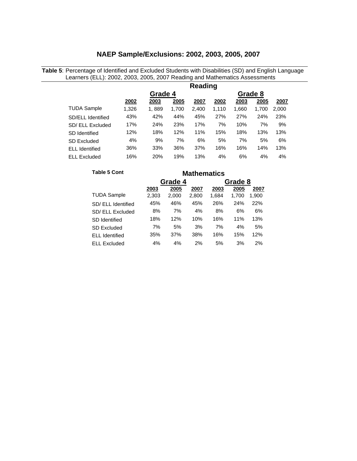#### **NAEP Sample/Exclusions: 2002, 2003, 2005, 2007**

**Table 5**: Percentage of Identified and Excluded Students with Disabilities (SD) and English Language Learners (ELL): 2002, 2003, 2005, 2007 Reading and Mathematics Assessments

|                       |       |         |       | Reading | Grade 8<br>2003<br>2005<br>2002<br>2007<br>1,660<br>2,000<br>1,110<br>1,700<br>27%<br>27%<br>24%<br>23%<br>7%<br>7%<br>9%<br>10%<br>18%<br>15%<br>13%<br>13%<br>6%<br>5%<br>7%<br>5%<br>13%<br>16%<br>16%<br>14% |    |    |    |  |  |  |  |
|-----------------------|-------|---------|-------|---------|------------------------------------------------------------------------------------------------------------------------------------------------------------------------------------------------------------------|----|----|----|--|--|--|--|
|                       |       | Grade 4 |       |         |                                                                                                                                                                                                                  |    |    |    |  |  |  |  |
|                       | 2002  | 2003    | 2005  | 2007    |                                                                                                                                                                                                                  |    |    |    |  |  |  |  |
| <b>TUDA Sample</b>    | 1,326 | 1,889   | 1,700 | 2,400   |                                                                                                                                                                                                                  |    |    |    |  |  |  |  |
| SD/ELL Identified     | 43%   | 42%     | 44%   | 45%     |                                                                                                                                                                                                                  |    |    |    |  |  |  |  |
| SD/ ELL Excluded      | 17%   | 24%     | 23%   | 17%     |                                                                                                                                                                                                                  |    |    |    |  |  |  |  |
| SD Identified         | 12%   | 18%     | 12%   | 11%     |                                                                                                                                                                                                                  |    |    |    |  |  |  |  |
| <b>SD Excluded</b>    | 4%    | 9%      | 7%    | 6%      |                                                                                                                                                                                                                  |    |    |    |  |  |  |  |
| <b>ELL Identified</b> | 36%   | 33%     | 36%   | 37%     |                                                                                                                                                                                                                  |    |    |    |  |  |  |  |
| <b>ELL Excluded</b>   | 16%   | 20%     | 19%   | 13%     | 4%                                                                                                                                                                                                               | 6% | 4% | 4% |  |  |  |  |

| <b>Table 5 Cont</b>   |       |         |                                                                                                                                                                                                                              |    |    |       |  |  |  |
|-----------------------|-------|---------|------------------------------------------------------------------------------------------------------------------------------------------------------------------------------------------------------------------------------|----|----|-------|--|--|--|
|                       |       | Grade 4 | <b>Mathematics</b><br>Grade 8<br>2005<br>2005<br>2007<br>2003<br>2,800<br>1,684<br>1,700<br>46%<br>45%<br>26%<br>24%<br>7%<br>4%<br>8%<br>6%<br>10%<br>12%<br>16%<br>11%<br>7%<br>5%<br>3%<br>4%<br>38%<br>15%<br>37%<br>16% |    |    |       |  |  |  |
|                       | 2003  |         |                                                                                                                                                                                                                              |    |    | 2007  |  |  |  |
| <b>TUDA Sample</b>    | 2,303 | 2,000   |                                                                                                                                                                                                                              |    |    | 1,900 |  |  |  |
| SD/ ELL Identified    | 45%   |         |                                                                                                                                                                                                                              |    |    | 22%   |  |  |  |
| SD/ ELL Excluded      | 8%    |         |                                                                                                                                                                                                                              |    |    | 6%    |  |  |  |
| <b>SD</b> Identified  | 18%   |         |                                                                                                                                                                                                                              |    |    | 13%   |  |  |  |
| SD Excluded           | 7%    |         |                                                                                                                                                                                                                              |    |    | 5%    |  |  |  |
| <b>ELL</b> Identified | 35%   |         |                                                                                                                                                                                                                              |    |    | 12%   |  |  |  |
| <b>ELL Excluded</b>   | 4%    | 4%      | 2%                                                                                                                                                                                                                           | 5% | 3% | 2%    |  |  |  |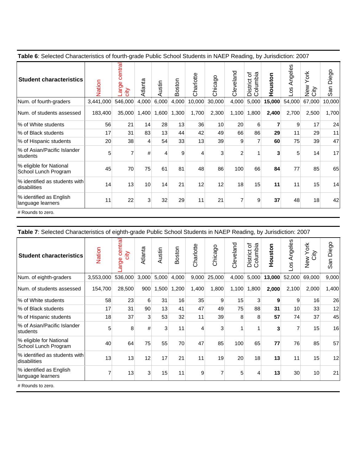| Table 6: Selected Characteristics of fourth-grade Public School Students in NAEP Reading, by Jurisdiction: 2007 |  |
|-----------------------------------------------------------------------------------------------------------------|--|
|                                                                                                                 |  |

| <b>Student characteristics</b>                  | Nation    | central<br>arge<br>$\frac{1}{2}$ | Atlanta        | ustin<br>⋖ | Boston | Charlotte | Chicago | Cleveland      | ৳<br>Columbia<br>District | uston<br>훈 | ngeles<br>⋖<br>8O | York<br>New<br>City | San Diego |
|-------------------------------------------------|-----------|----------------------------------|----------------|------------|--------|-----------|---------|----------------|---------------------------|------------|-------------------|---------------------|-----------|
| Num. of fourth-graders                          | 3,441,000 | 546,000                          | 4,000          | 6,000      | 4,000  | 10,000    | 30,000  | 4,000          | 5,000                     | 15,000     | 54,000            | 67,000              | 10,000    |
| Num. of students assessed                       | 183,400   | 35,000                           | 1,400          | 1,600      | 1,300  | 1,700     | 2,300   | 1,100          | 1,800                     | 2,400      | 2,700             | 2,500               | 1,700     |
| % of White students                             | 56        | 21                               | 14             | 28         | 13     | 36        | 10      | 20             | 6                         | 7          | 9                 | 17                  | 24        |
| % of Black students                             | 17        | 31                               | 83             | 13         | 44     | 42        | 49      | 66             | 86                        | 29         | 11                | 29                  | 11        |
| % of Hispanic students                          | 20        | 38                               | $\overline{4}$ | 54         | 33     | 13        | 39      | 9              | 7                         | 60         | 75                | 39                  | 47        |
| % of Asian/Pacific Islander<br><b>students</b>  | 5         | $\overline{7}$                   | #              | 4          | 9      | 4         | 3       | $\overline{2}$ |                           | 3          | 5                 | 14                  | 17        |
| % eligible for National<br>School Lunch Program | 45        | 70                               | 75             | 61         | 81     | 48        | 86      | 100            | 66                        | 84         | 77                | 85                  | 65        |
| % identified as students with<br>disabilities   | 14        | 13                               | 10             | 14         | 21     | 12        | 12      | 18             | 15                        | 11         | 11                | 15                  | 14        |
| % identified as English<br>language learners    | 11        | 22                               | $\mathbf{3}$   | 32         | 29     | 11        | 21      | 7              | 9                         | 37         | 48                | 18                  | 42        |
| # Rounds to zero.                               |           |                                  |                |            |        |           |         |                |                           |            |                   |                     |           |

**Table 7**: Selected Characteristics of eighth-grade Public School Students in NAEP Reading, by Jurisdiction: 2007

| <b>Student characteristics</b>                  | Nation    | central<br>city<br>arge | Atlanta | Austin         | Boston | Charlotte | Chicago | Cleveland | ৳<br>Columbia<br>District | Houston | Angeles<br>8 | New York<br>City | San Diego |
|-------------------------------------------------|-----------|-------------------------|---------|----------------|--------|-----------|---------|-----------|---------------------------|---------|--------------|------------------|-----------|
| Num. of eighth-graders                          | 3,553,000 | 536,000                 | 3,000   | 5,000          | 4,000  | 9,000     | 25,000  | 4,000     | 5,000                     | 13,000  | 52,000       | 69,000           | 9,000     |
| Num. of students assessed                       | 154,700   | 28,500                  | 900     | 1,500          | 1,200  | 1,400     | 1,800   | 1,100     | 1,800                     | 2,000   | 2,100        | 2,000            | 1,400     |
| 1% of White students                            | 58        | 23                      | 6       | 31             | 16     | 35        | 9       | 15        | $\mathbf{3}$              | 9       | 9            | 16               | 26        |
| % of Black students                             | 17        | 31                      | 90      | 13             | 41     | 47        | 49      | 75        | 88                        | 31      | 10           | 33               | 12        |
| % of Hispanic students                          | 18        | 37                      | 3       | 53             | 32     | 11        | 39      | 8         | 8                         | 57      | 74           | 37               | 45        |
| % of Asian/Pacific Islander<br>students         | 5         | 8                       | #       | $\overline{3}$ | 11     | 4         | 3       | 1         | 1                         | 3       |              | 15               | 16        |
| % eligible for National<br>School Lunch Program | 40        | 64                      | 75      | 55             | 70     | 47        | 85      | 100       | 65                        | 77      | 76           | 85               | 57        |
| % identified as students with<br>ldisabilities  | 13        | 13                      | 12      | 17             | 21     | 11        | 19      | 20        | 18                        | 13      | 11           | 15               | 12        |
| % identified as English<br>language learners    | 7         | 13                      | 3       | 15             | 11     | 9         | 7       | 5         | 4                         | 13      | 30           | 10               | 21        |
| # Rounds to zero.                               |           |                         |         |                |        |           |         |           |                           |         |              |                  |           |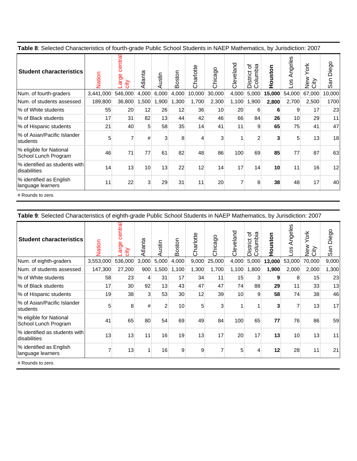| Table 8: Selected Characteristics of fourth-grade Public School Students in NAEP Mathematics, by Jurisdiction: 2007 |  |
|---------------------------------------------------------------------------------------------------------------------|--|
|                                                                                                                     |  |

| <b>Student characteristics</b>                  | Vation    | centra<br>rge<br>sity<br>ℼ | Atlanta | ustin        | ston<br>ă | Charlotte | Chicago         | Cleveland | ৳<br>olumbia<br>District<br>$\circ$ | uston<br>$\circ$<br>Í | Angeles<br><b>S</b><br>$\circ$ | York<br>New<br>City<br>₹ | Diego<br>San |
|-------------------------------------------------|-----------|----------------------------|---------|--------------|-----------|-----------|-----------------|-----------|-------------------------------------|-----------------------|--------------------------------|--------------------------|--------------|
| Num. of fourth-graders                          | 3,441,000 | 546,000                    | 4,000   | 6,000        | 4,000     | 10,000    | 30,000          | 4,000     | 5,000                               | 15,000                | 54,000                         | 67,000                   | 10,000       |
| Num. of students assessed                       | 189,800   | 36,800                     | ,500    | 1,900        | 1,300     | 1,700     | 2,300           | 1,100     | 1,900                               | 2,800                 | 2,700                          | 2,500                    | 1700         |
| % of White students                             | 55        | 20                         | 12      | 26           | 12        | 36        | 10 <sup>1</sup> | 20        | 6                                   | 6                     | 9                              | 17                       | 23           |
| % of Black students                             | 17        | 31                         | 82      | 13           | 44        | 42        | 46              | 66        | 84                                  | 26                    | 10                             | 29                       | 11           |
| % of Hispanic students                          | 21        | 40                         | 5       | 58           | 35        | 14        | 41              | 11        | 9                                   | 65                    | 75                             | 41                       | 47           |
| % of Asian/Pacific Islander<br><b>Istudents</b> | 5         | $\overline{7}$             | #       | $\mathbf{3}$ | 8         | 4         | 3               | 1         | $\overline{c}$                      | 3                     | 5                              | 13                       | 18           |
| % eligible for National<br>School Lunch Program | 46        | 71                         | 77      | 61           | 82        | 48        | 86              | 100       | 69                                  | 85                    | 77                             | 87                       | 63           |
| % identified as students with<br>ldisabilities  | 14        | 13                         | 10      | 13           | 22        | 12        | 14              | 17        | 14                                  | 10                    | 11                             | 16                       | 12           |
| % identified as English<br>language learners    | 11        | 22                         | 3       | 29           | 31        | 11        | 20              | 7         | 8                                   | 38                    | 48                             | 17                       | 40           |

# Rounds to zero.

| <b>Student characteristics</b>                  | Nation    | central<br>Ф<br>arg<br>city | Atlanta | ustin<br>⋖     | ston<br>යි | Charlotte | Chicago | Cleveland | ৳<br>Columbia<br>District | ston<br>훈 | Angeles<br>8O- | York<br>New<br>City | Diego<br>San |
|-------------------------------------------------|-----------|-----------------------------|---------|----------------|------------|-----------|---------|-----------|---------------------------|-----------|----------------|---------------------|--------------|
| Num. of eighth-graders                          | 3,553,000 | 536,000                     | 3,000   | 5,000          | 4,000      | 9,000     | 25,000  | 4,000     | 5,000                     | 13,000    | 53,000         | 70,000              | 9,000        |
| Num. of students assessed                       | 147,300   | 27,200                      | 900     | ,500           | 1,100      | 1,300     | 1,700   | 1,100     | 1,800                     | 1,900     | 2,000          | 2,000               | 1,300        |
| % of White students                             | 58        | 23                          | 4       | 31             | 17         | 34        | 11      | 15        | 3 <sup>1</sup>            | 9         | 8              | 15                  | 23           |
| % of Black students                             | 17        | 30                          | 92      | 13             | 43         | 47        | 47      | 74        | 88                        | 29        | 11             | 33                  | 13           |
| % of Hispanic students                          | 19        | 38                          | 3       | 53             | 30         | 12        | 39      | 10        | 9                         | 58        | 74             | 38                  | 46           |
| % of Asian/Pacific Islander<br>students         | 5         | 8                           | #       | $\overline{2}$ | 10         | 5         | 3       | 1         |                           | 3         |                | 13                  | 17           |
| % eligible for National<br>School Lunch Program | 41        | 65                          | 80      | 54             | 69         | 49        | 84      | 100       | 65                        | 77        | 76             | 86                  | 59           |
| % identified as students with<br>disabilities   | 13        | 13                          | 11      | 16             | 19         | 13        | 17      | 20        | 17                        | 13        | 10             | 13                  | 11           |
| % identified as English<br>language learners    | 7         | 13                          | 1       | 16             | 9          | 9         | 7       | 5         | 4                         | 12        | 28             | 11                  | 21           |

# Rounds to zero.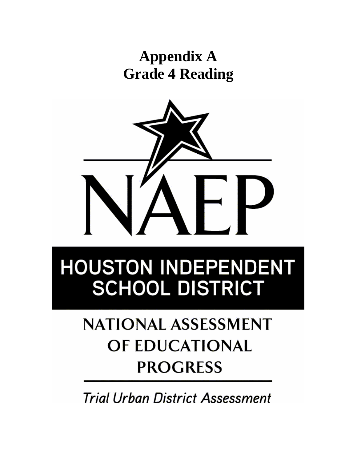### **Appendix A Grade 4 Reading**



# **HOUSTON INDEPENDENT SCHOOL DISTRICT**

## **NATIONAL ASSESSMENT** OF EDUCATIONAL **PROGRESS**

**Trial Urban District Assessment**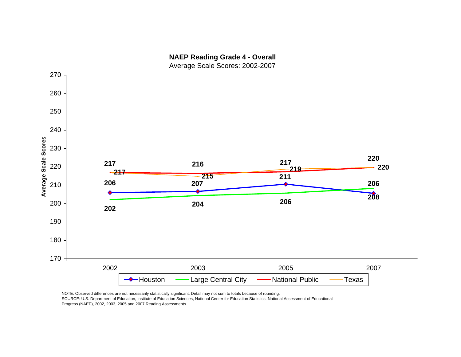

NOTE: Observed differences are not necessarily statistically significant. Detail may not sum to totals because of rounding.

SOURCE: U.S. Department of Education, Institute of Education Sciences, National Center for Education Statistics, National Assessment of Educational Progress (NAEP), 2002, 2003, 2005 and 2007 Reading Assessments.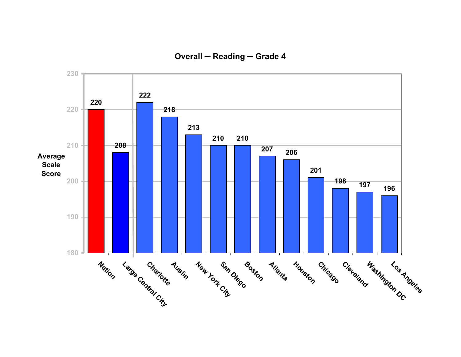**Overall ─ Reading ─ Grade 4**

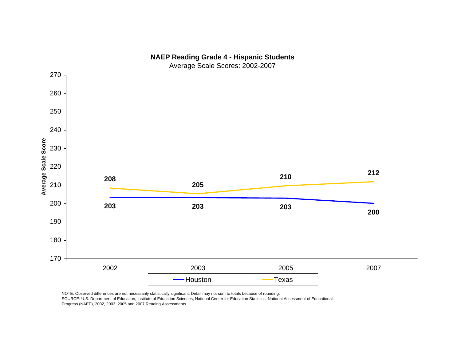

SOURCE: U.S. Department of Education, Institute of Education Sciences, National Center for Education Statistics, National Assessment of Educational Progress (NAEP), 2002, 2003, 2005 and 2007 Reading Assessments.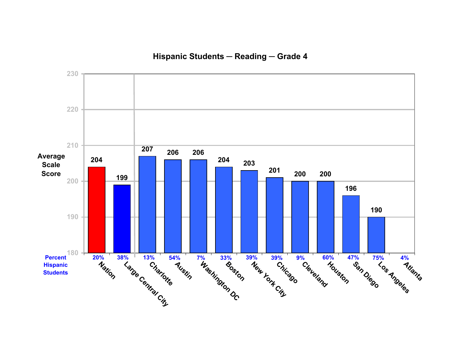**Hispanic Students ─ Reading ─ Grade 4**

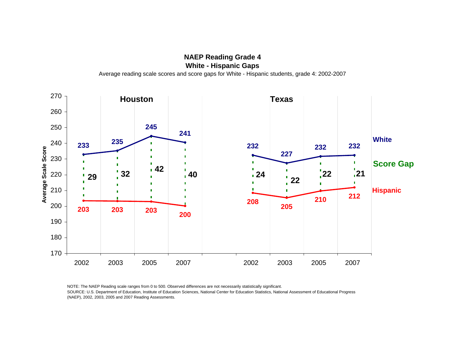**White - Hispanic Gaps**

270 **Houston Texas** 260 **245**250 **241 White <sup>235</sup>** 240**233**D **232 232 232**Average Scale Score **Average Scale Score** r. **227**230n. T **Score Gap** Ū. **<sup>32</sup> <sup>42</sup> <sup>40</sup>22**22029 <sup>2</sup> <sup>22</sup> <sup>24</sup> <sup>24</sup> <sup>22</sup> <sup>22</sup> **24 22**  $\blacksquare$  $\blacksquare$ n П **Hispanic**  $\blacksquare$  $\blacksquare$ 210 'n **<sup>212</sup>** П  $\blacksquare$ **210**n **208**200**205203 203 203 200**1901801702007 2002 2003 2005 2007 2002 2003 2005 2007

NOTE: The NAEP Reading scale ranges from 0 to 500. Observed differences are not necessarily statistically significant. SOURCE: U.S. Department of Education, Institute of Education Sciences, National Center for Education Statistics, National Assessment of Educational Progress (NAEP), 2002, 2003, 2005 and 2007 Reading Assessments.

**NAEP Reading Grade 4** Average reading scale scores and score gaps for White - Hispanic students, grade 4: 2002-2007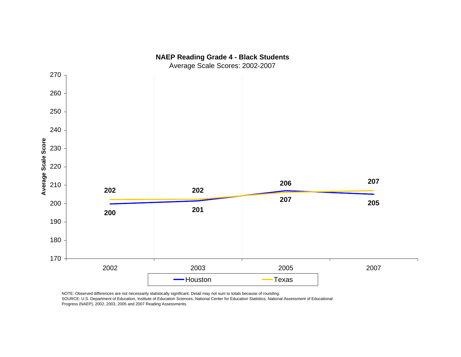

NOTE: Observed differences are not necessarily statistically significant. Detail may not sum to totals because of rounding.

SOURCE: U.S. Department of Education, Institute of Education Sciences, National Center for Education Statistics, National Assessment of Educational Progress (NAEP), 2002, 2003, 2005 and 2007 Reading Assessments.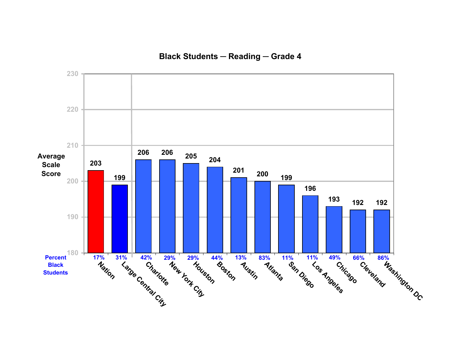#### **Black Students ─ Reading ─ Grade 4**

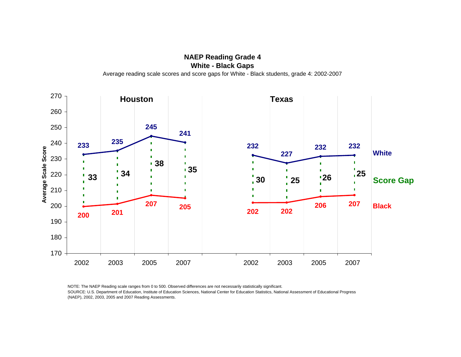**NAEP Reading Grade 4 White - Black Gaps**

**Houston Texas** D **232**  $\frac{6}{32}$ <br>  $\frac{6}{32}$ <br>  $\frac{6}{32}$ <br>  $\frac{22}{32}$ <br>  $\frac{1}{32}$ <br>  $\frac{1}{33}$ <br>  $\frac{1}{34}$ <br>  $\frac{1}{35}$ <br>  $\frac{1}{35}$ <br>  $\frac{1}{30}$ <br>  $\frac{1}{25}$ <br>  $\frac{1}{26}$ <br>  $\frac{1}{32}$ <br>
Score<br>
Score<br>  $\frac{1}{30}$ <br>  $\frac{1}{30}$ <br>  $\frac{1}{30}$ <br>  $\frac{1}{30}$ <br>  $\$ <sup>1</sup>25 Score Gap **<sup>25</sup> <sup>34</sup> 25 207 <sup>205</sup> <sup>207</sup> Black** 2002 2003 2005 2007 2002 2003 2005 2007

NOTE: The NAEP Reading scale ranges from 0 to 500. Observed differences are not necessarily statistically significant. SOURCE: U.S. Department of Education, Institute of Education Sciences, National Center for Education Statistics, National Assessment of Educational Progress (NAEP), 2002, 2003, 2005 and 2007 Reading Assessments.

Average reading scale scores and score gaps for White - Black students, grade 4: 2002-2007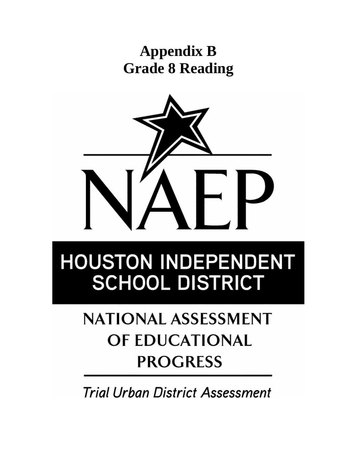### **Appendix B Grade 8 Reading**



# **HOUSTON INDEPENDENT SCHOOL DISTRICT**

## **NATIONAL ASSESSMENT** OF EDUCATIONAL **PROGRESS**

**Trial Urban District Assessment**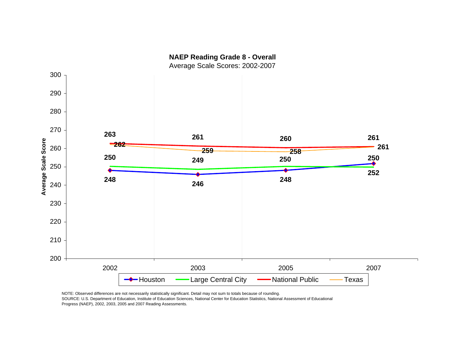

NOTE: Observed differences are not necessarily statistically significant. Detail may not sum to totals because of rounding. SOURCE: U.S. Department of Education, Institute of Education Sciences, National Center for Education Statistics, National Assessment of Educational Progress (NAEP), 2002, 2003, 2005 and 2007 Reading Assessments.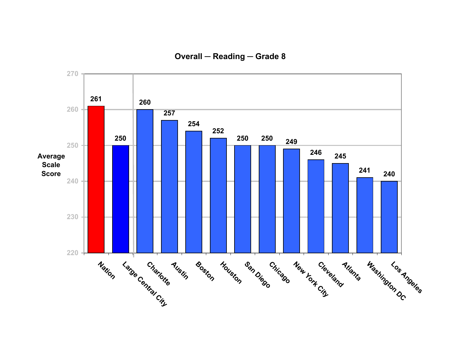**Overall ─ Reading ─ Grade 8**

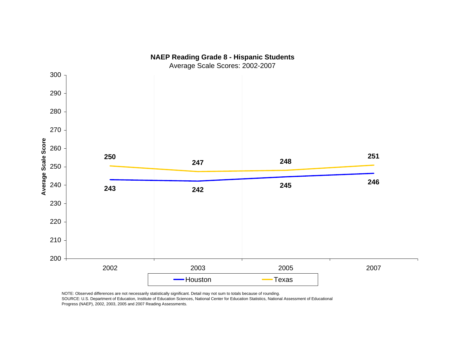

NOTE: Observed differences are not necessarily statistically significant. Detail may not sum to totals because of rounding.

SOURCE: U.S. Department of Education, Institute of Education Sciences, National Center for Education Statistics, National Assessment of Educational Progress (NAEP), 2002, 2003, 2005 and 2007 Reading Assessments.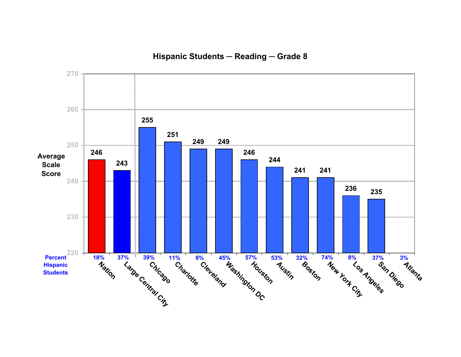**Hispanic Students ─ Reading ─ Grade 8**

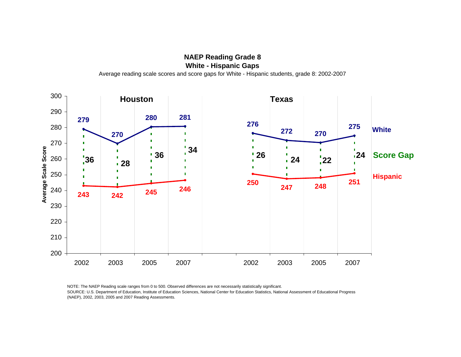**White - Hispanic Gaps** Average reading scale scores and score gaps for White - Hispanic students, grade 8: 2002-2007

300**Houston Texas** 290 **280 281 279276 <sup>275</sup>** 280**White272 270270** $\blacksquare$  $\blacksquare$ 270 $\blacksquare$ Average Scale Score  $\blacksquare$ **Average Scale Score**  $\blacksquare$  **<sup>36</sup> <sup>34</sup>**п **24 22 24 Score Gap 26 <sup>24</sup> <sup>36</sup> <sup>28</sup>** $\frac{1}{2}$ 260 $\mathbf{r}$ n 250 $\blacksquare$  $\blacksquare$ **Hispanic** п 'n **<sup>248</sup> <sup>251</sup> 250 247 <sup>245</sup> <sup>246</sup>** 240**243 242**2302202102002007 2002 2003 2005 2007 2002 2003 2005 2007

NOTE: The NAEP Reading scale ranges from 0 to 500. Observed differences are not necessarily statistically significant. SOURCE: U.S. Department of Education, Institute of Education Sciences, National Center for Education Statistics, National Assessment of Educational Progress (NAEP), 2002, 2003, 2005 and 2007 Reading Assessments.

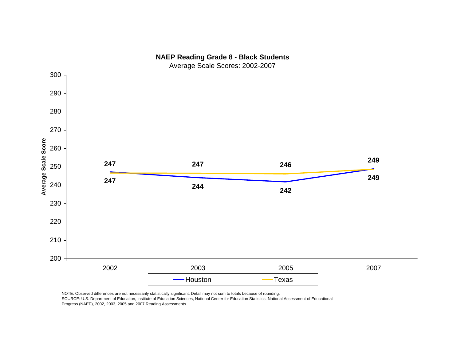

NOTE: Observed differences are not necessarily statistically significant. Detail may not sum to totals because of rounding.

SOURCE: U.S. Department of Education, Institute of Education Sciences, National Center for Education Statistics, National Assessment of Educational Progress (NAEP), 2002, 2003, 2005 and 2007 Reading Assessments.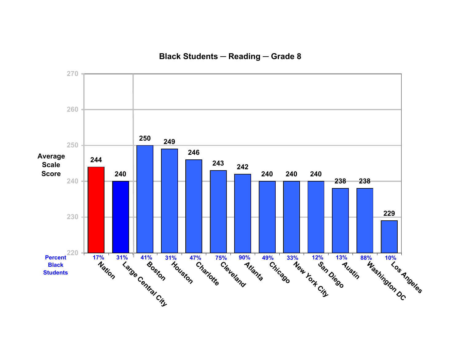#### **Black Students ─ Reading ─ Grade 8**

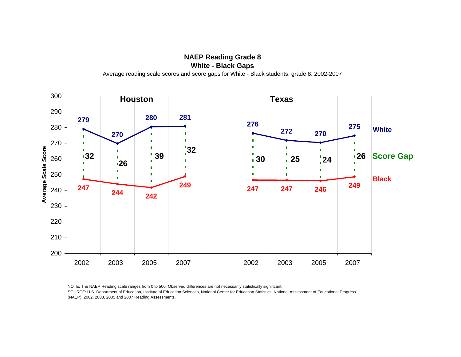**NAEP Reading Grade 8 White - Black Gaps** Average reading scale scores and score gaps for White - Black students, grade 8: 2002-2007

300**Houston Texas** 290 **280 281 279276 <sup>275</sup>** 280**White272 270270**n  $\blacksquare$  $\blacksquare$ 270 $\blacksquare$ r. Average Scale Score **32** $\blacksquare$ **Average Scale Score** Ō. 'n  $\blacksquare$  $\begin{array}{|c|c|c|}\n\hline\n\text{126} & \text{39}\n\end{array}$ **x Score Gap 124 126 Score Gap <sup>32</sup> <sup>26</sup> <sup>26</sup>** $\frac{1}{2}$ 260Г n 250 $\blacksquare$  $\blacksquare$ Ē  $\blacksquare$ **Black** $\blacksquare$  **<sup>249</sup> <sup>249</sup> 247 <sup>244</sup> <sup>247</sup> 247 246**240**242**2302202102002007 2002 2003 2005 2007 2002 2003 2005 2007

NOTE: The NAEP Reading scale ranges from 0 to 500. Observed differences are not necessarily statistically significant. SOURCE: U.S. Department of Education, Institute of Education Sciences, National Center for Education Statistics, National Assessment of Educational Progress (NAEP), 2002, 2003, 2005 and 2007 Reading Assessments.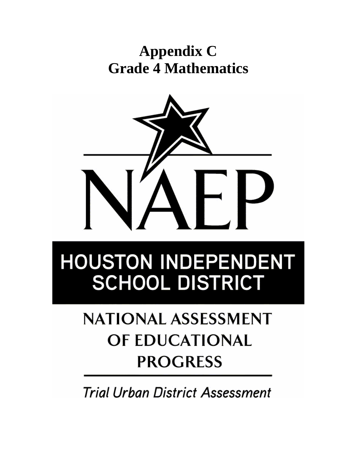### **Appendix C Grade 4 Mathematics**



# **HOUSTON INDEPENDENT SCHOOL DISTRICT**

## **NATIONAL ASSESSMENT** OF EDUCATIONAL **PROGRESS**

**Trial Urban District Assessment**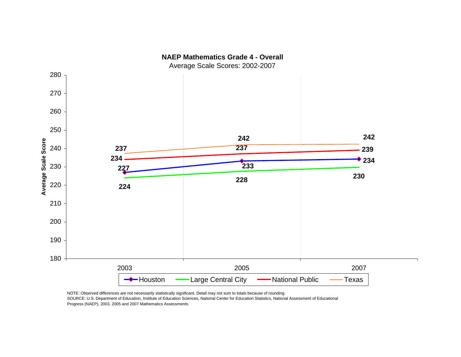

SOURCE: U.S. Department of Education, Institute of Education Sciences, National Center for Education Statistics, National Assessment of Educational

Progress (NAEP), 2003, 2005 and 2007 Mathematics Assessments.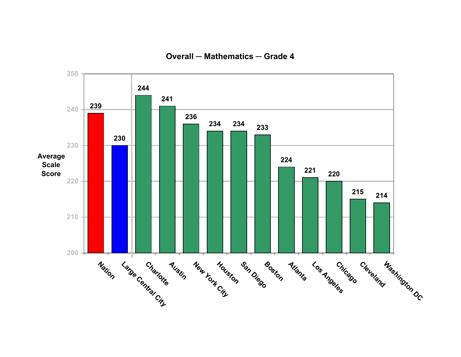**Overall ─ Mathematics ─ Grade 4**

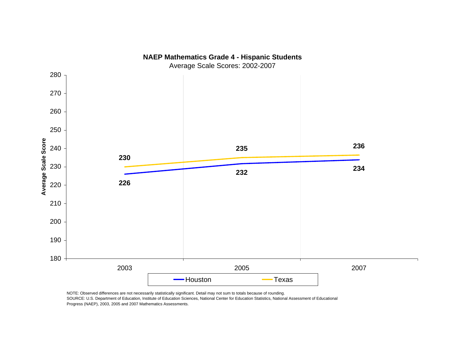

NOTE: Observed differences are not necessarily statistically significant. Detail may not sum to totals because of rounding.

SOURCE: U.S. Department of Education, Institute of Education Sciences, National Center for Education Statistics, National Assessment of Educational Progress (NAEP), 2003, 2005 and 2007 Mathematics Assessments.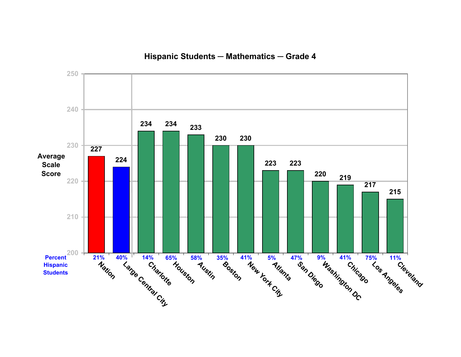**Hispanic Students ─ Mathematics ─ Grade 4**

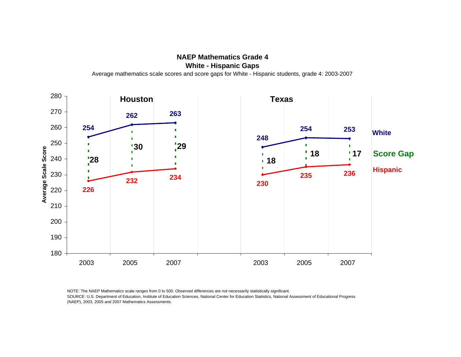**NAEP Mathematics Grade 4White - Hispanic Gaps** Average mathematics scale scores and score gaps for White - Hispanic students, grade 4: 2003-2007



NOTE: The NAEP Mathematics scale ranges from 0 to 500. Observed differences are not necessarily statistically significant. SOURCE: U.S. Department of Education, Institute of Education Sciences, National Center for Education Statistics, National Assessment of Educational Progress (NAEP), 2003, 2005 and 2007 Mathematics Assessments.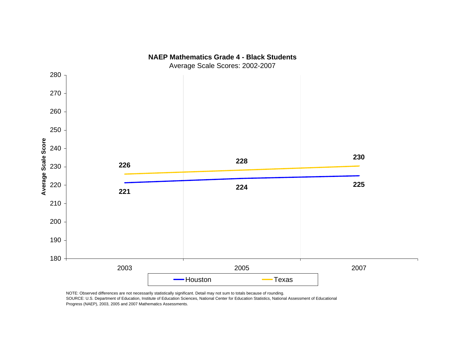

**NAEP Mathematics Grade 4 - Black Students**

NOTE: Observed differences are not necessarily statistically significant. Detail may not sum to totals because of rounding.

SOURCE: U.S. Department of Education, Institute of Education Sciences, National Center for Education Statistics, National Assessment of Educational Progress (NAEP), 2003, 2005 and 2007 Mathematics Assessments.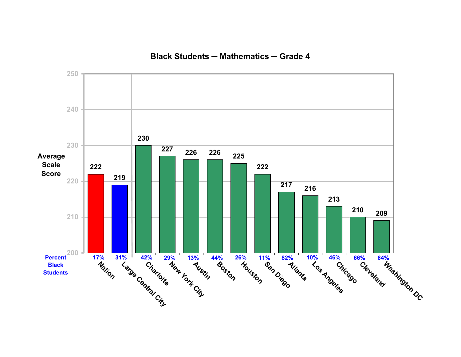#### **Black Students ─ Mathematics ─ Grade 4**

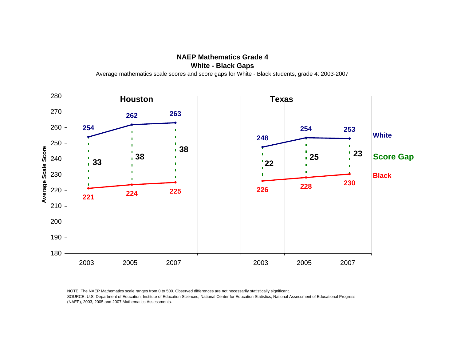**NAEP Mathematics Grade 4White - Black Gaps** Average mathematics scale scores and score gaps for White - Black students, grade 4: 2003-2007

280**Houston Texas** 270 **263 262254**260 **253254 White248**250 $\blacksquare$  $\blacksquare$ Average Scale Score **Average Scale Score <sup>38</sup> <sup>38</sup> 25 23 Score Gap**  $\frac{1}{23}$   $\frac{1}{28}$   $\frac{1}{29}$   $\frac{1}{25}$   $\frac{1}{23}$   $\frac{23}{2}$ **25**240 $\frac{1}{2}$  $\blacksquare$ 230п **Black** $\blacksquare$ n. **230228**220 **<sup>226</sup> <sup>224</sup> 225 221**2102001901802007 2003 2005 2007 2003 2005 2007

NOTE: The NAEP Mathematics scale ranges from 0 to 500. Observed differences are not necessarily statistically significant. SOURCE: U.S. Department of Education, Institute of Education Sciences, National Center for Education Statistics, National Assessment of Educational Progress (NAEP), 2003, 2005 and 2007 Mathematics Assessments.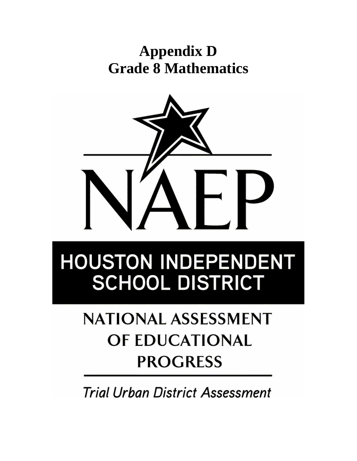### **Appendix D Grade 8 Mathematics**



# **HOUSTON INDEPENDENT SCHOOL DISTRICT**

## **NATIONAL ASSESSMENT** OF EDUCATIONAL **PROGRESS**

**Trial Urban District Assessment**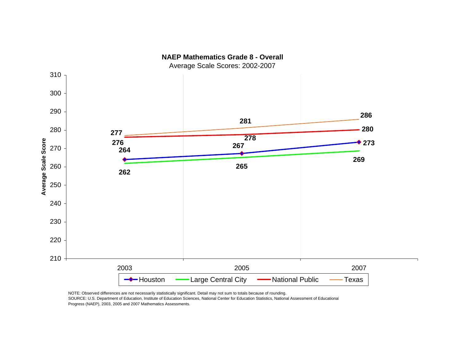

NOTE: Observed differences are not necessarily statistically significant. Detail may not sum to totals because of rounding. SOURCE: U.S. Department of Education, Institute of Education Sciences, National Center for Education Statistics, National Assessment of Educational Progress (NAEP), 2003, 2005 and 2007 Mathematics Assessments.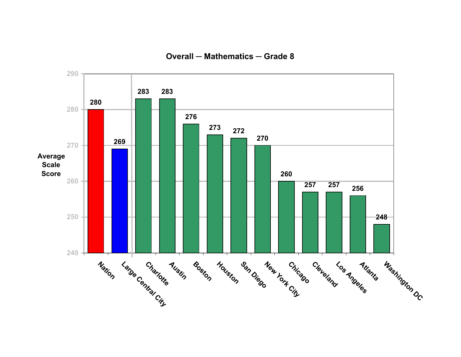**Overall ─ Mathematics ─ Grade 8**

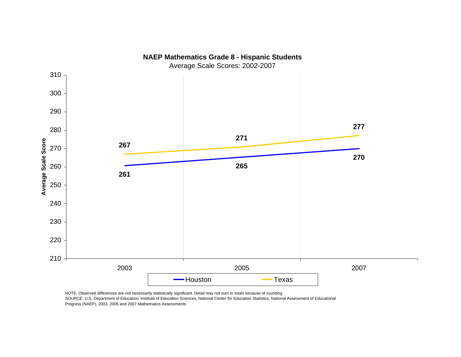

NOTE: Observed differences are not necessarily statistically significant. Detail may not sum to totals because of rounding.

SOURCE: U.S. Department of Education, Institute of Education Sciences, National Center for Education Statistics, National Assessment of Educational Progress (NAEP), 2003, 2005 and 2007 Mathematics Assessments.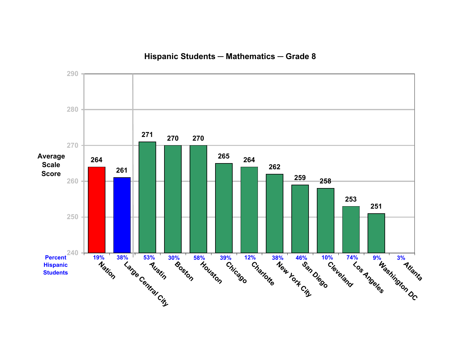**Hispanic Students ─ Mathematics ─ Grade 8**

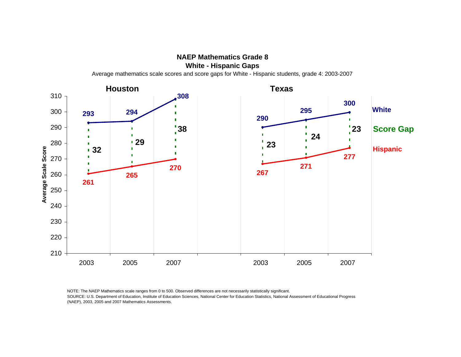

 **Texas Houston308**310 **300 White 294 295** 300 **293290** $\blacksquare$ **Score Gap** 290  $\blacksquare$ **38 23**  $\blacksquare$ n. **24**  $\blacksquare$ **29**280**23** Average Scale Score п **Hispanic 32Average Scale Score**  $\blacksquare$ **277**n. 270 **<sup>271</sup> 270 267**260**265261**250 2402302202102007 2003 2005 2007 2003 2005 2007

NOTE: The NAEP Mathematics scale ranges from 0 to 500. Observed differences are not necessarily statistically significant. SOURCE: U.S. Department of Education, Institute of Education Sciences, National Center for Education Statistics, National Assessment of Educational Progress (NAEP), 2003, 2005 and 2007 Mathematics Assessments.

Average mathematics scale scores and score gaps for White - Hispanic students, grade 4: 2003-2007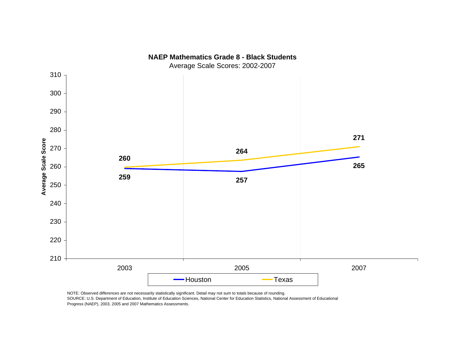

NOTE: Observed differences are not necessarily statistically significant. Detail may not sum to totals because of rounding.

SOURCE: U.S. Department of Education, Institute of Education Sciences, National Center for Education Statistics, National Assessment of Educational Progress (NAEP), 2003, 2005 and 2007 Mathematics Assessments.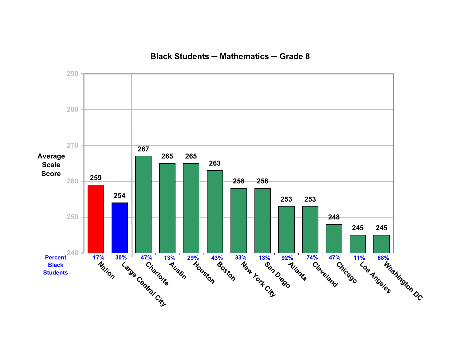**Black Students ─ Mathematics ─ Grade 8**